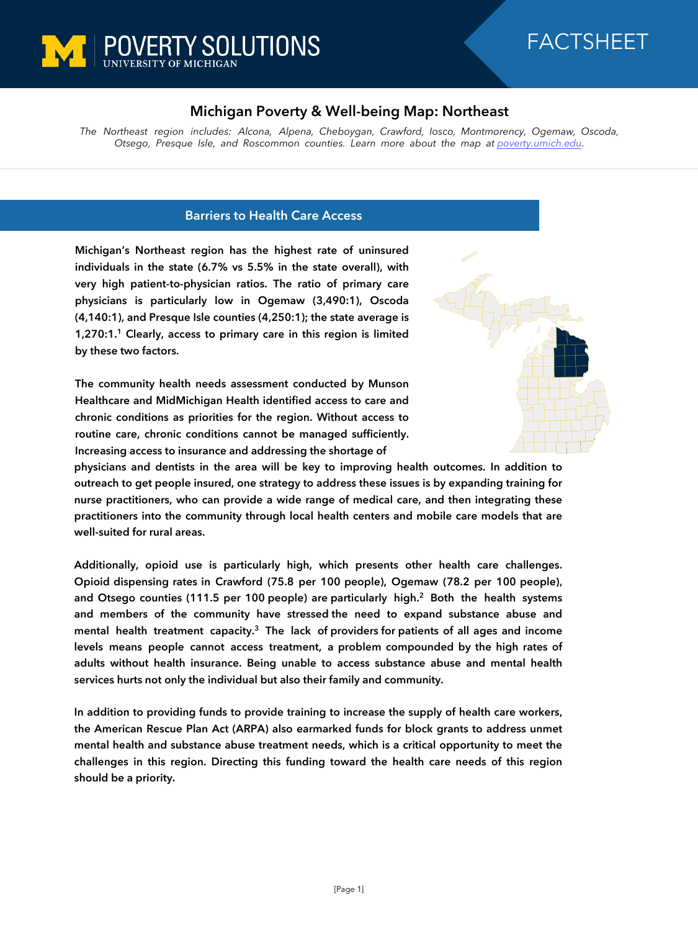



## **Michigan Poverty & Well-being Map: Northeast**

*The Northeast region includes: Alcona, Alpena, Cheboygan, Crawford, Iosco, Montmorency, Ogemaw, Oscoda, Otsego, Presque Isle, and Roscommon counties. Learn more about the map at [poverty.umich.edu](https://poverty.umich.edu/research-funding-opportunities/data-tools/michigan-poverty-well-being-map/).*

## **Barriers to Health Care Access**

**Michigan's Northeast region has the highest rate of uninsured individuals in the state (6.7% vs 5.5% in the state overall), with very high patient-to-physician ratios. The ratio of primary care physicians is particularly low in Ogemaw (3,490:1), Oscoda (4,140:1), and Presque Isle counties (4,250:1); the state average is 1,270:1.<sup>1</sup> Clearly, access to primary care in this region is limited by these two factors.** 

**The community health needs assessment conducted by Munson Healthcare and MidMichigan Health identified access to care and chronic conditions as priorities for the region. Without access to routine care, chronic conditions cannot be managed sufficiently. Increasing access to insurance and addressing the shortage of** 



**physicians and dentists in the area will be key to improving health outcomes. In addition to outreach to get people insured, one strategy to address these issues is by expanding training for nurse practitioners, who can provide a wide range of medical care, and then integrating these practitioners into the community through local health centers and mobile care models that are well-suited for rural areas.**

**Additionally, opioid use is particularly high, which presents other health care challenges. Opioid dispensing rates in Crawford (75.8 per 100 people), Ogemaw (78.2 per 100 people), and Otsego counties (111.5 per 100 people) are particularly high.<sup>2</sup> Both the health systems and members of the community have stressed the need to expand substance abuse and mental health treatment capacity.<sup>3</sup> The lack of providers for patients of all ages and income levels means people cannot access treatment, a problem compounded by the high rates of adults without health insurance. Being unable to access substance abuse and mental health services hurts not only the individual but also their family and community.**

**In addition to providing funds to provide training to increase the supply of health care workers, the American Rescue Plan Act (ARPA) also earmarked funds for block grants to address unmet mental health and substance abuse treatment needs, which is a critical opportunity to meet the challenges in this region. Directing this funding toward the health care needs of this region should be a priority.**